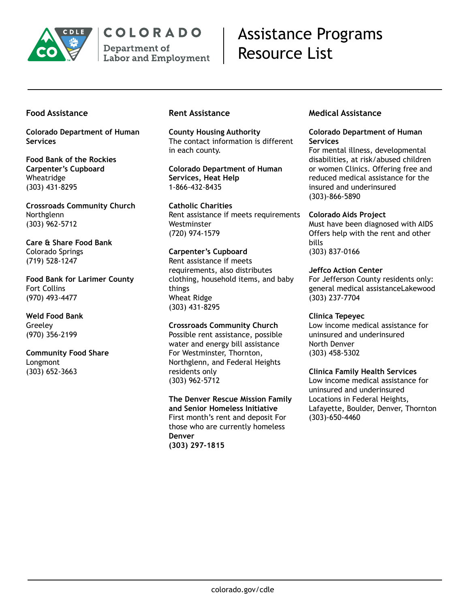

# COLORADO

Department of **Labor and Employment** 

# Assistance Programs Resource List

# **Food Assistance**

**Colorado Department of Human Services**

**Food Bank of the Rockies Carpenter's Cupboard** Wheatridge (303) 431-8295

**Crossroads Community Church** Northglenn (303) 962-5712

**Care & Share Food Bank** Colorado Springs (719) 528-1247

**Food Bank for Larimer County** Fort Collins (970) 493-4477

**Weld Food Bank** Greeley (970) 356-2199

**Community Food Share** Longmont (303) 652-3663

# **Rent Assistance**

**County Housing Authority** The contact information is different in each county.

**Colorado Department of Human Services, Heat Help** 1-866-432-8435

**Catholic Charities** Rent assistance if meets requirements Westminster (720) 974-1579

**Carpenter's Cupboard** Rent assistance if meets requirements, also distributes clothing, household items, and baby things Wheat Ridge (303) 431-8295

**Crossroads Community Church** Possible rent assistance, possible water and energy bill assistance For Westminster, Thornton, Northglenn, and Federal Heights residents only (303) 962-5712

**The Denver Rescue Mission Family and Senior Homeless Initiative** First month's rent and deposit For those who are currently homeless **Denver (303) 297-1815**

# **Medical Assistance**

#### **Colorado Department of Human Services**

For mental illness, developmental disabilities, at risk/abused children or women Clinics. Offering free and reduced medical assistance for the insured and underinsured (303)-866-5890

**Colorado Aids Project**

Must have been diagnosed with AIDS Offers help with the rent and other bills (303) 837-0166

**Jeffco Action Center** For Jefferson County residents only: general medical assistanceLakewood (303) 237-7704

**Clinica Tepeyec** Low income medical assistance for uninsured and underinsured North Denver (303) 458-5302

**Clinica Family Health Services** Low income medical assistance for uninsured and underinsured Locations in Federal Heights, Lafayette, Boulder, Denver, Thornton (303)-650-4460